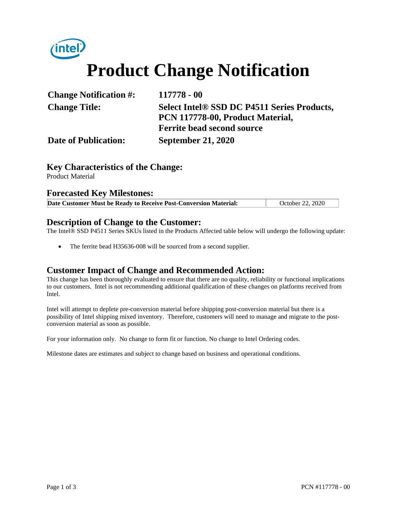

| <b>Change Notification #:</b> | 117778 - 00                                 |  |
|-------------------------------|---------------------------------------------|--|
| <b>Change Title:</b>          | Select Intel® SSD DC P4511 Series Products, |  |
|                               | PCN 117778-00, Product Material,            |  |
|                               | <b>Ferrite bead second source</b>           |  |
| <b>Date of Publication:</b>   | <b>September 21, 2020</b>                   |  |

### **Key Characteristics of the Change:**

Product Material

#### **Forecasted Key Milestones:**

| October 22, 2020<br>Date Customer Must be Ready to Receive Post-Conversion Material: |
|--------------------------------------------------------------------------------------|
|--------------------------------------------------------------------------------------|

#### **Description of Change to the Customer:**

The Intel® SSD P4511 Series SKUs listed in the Products Affected table below will undergo the following update:

The ferrite bead H35636-008 will be sourced from a second supplier.

#### **Customer Impact of Change and Recommended Action:**

This change has been thoroughly evaluated to ensure that there are no quality, reliability or functional implications to our customers. Intel is not recommending additional qualification of these changes on platforms received from Intel.

Intel will attempt to deplete pre-conversion material before shipping post-conversion material but there is a possibility of Intel shipping mixed inventory. Therefore, customers will need to manage and migrate to the postconversion material as soon as possible.

For your information only. No change to form fit or function. No change to Intel Ordering codes.

Milestone dates are estimates and subject to change based on business and operational conditions.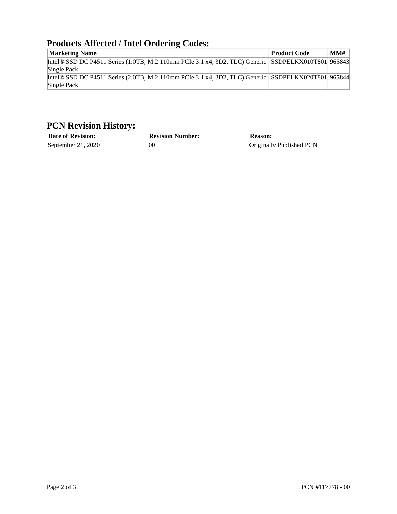## **Products Affected / Intel Ordering Codes:**

| Troughly interest the organized couple                                                                            |                     |     |  |
|-------------------------------------------------------------------------------------------------------------------|---------------------|-----|--|
| <b>Marketing Name</b>                                                                                             | <b>Product Code</b> | MMH |  |
| Intel® SSD DC P4511 Series (1.0TB, M.2 110mm PCIe 3.1 x4, 3D2, TLC) Generic SSDPELKX010T801 965843<br>Single Pack |                     |     |  |
| Intel® SSD DC P4511 Series (2.0TB, M.2 110mm PCIe 3.1 x4, 3D2, TLC) Generic SSDPELKX020T801 965844<br>Single Pack |                     |     |  |

## **PCN Revision History:**

| <b>Date of Revision:</b> | <b>Revision Number:</b> | <b>Reason:</b>           |
|--------------------------|-------------------------|--------------------------|
| September 21, $2020$     | OC                      | Originally Published PCN |